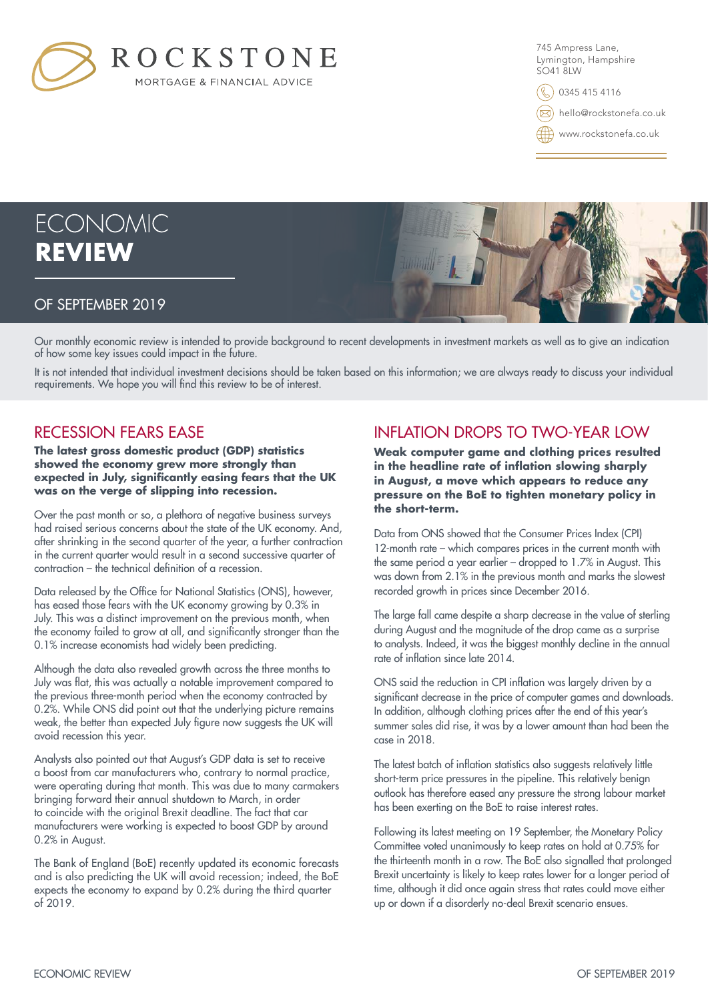

745 Ampress Lane, Lymington, Hampshire SO41 8LW

0345 415 4116

hello@rockstonefa.co.uk

www.rockstonefa.co.uk



Our monthly economic review is intended to provide background to recent developments in investment markets as well as to give an indication of how some key issues could impact in the future.

It is not intended that individual investment decisions should be taken based on this information; we are always ready to discuss your individual requirements. We hope you will find this review to be of interest.

### RECESSION FEARS EASE

**The latest gross domestic product (GDP) statistics showed the economy grew more strongly than expected in July, significantly easing fears that the UK was on the verge of slipping into recession.**

Over the past month or so, a plethora of negative business surveys had raised serious concerns about the state of the UK economy. And, after shrinking in the second quarter of the year, a further contraction in the current quarter would result in a second successive quarter of contraction – the technical definition of a recession.

Data released by the Office for National Statistics (ONS), however, has eased those fears with the UK economy growing by 0.3% in July. This was a distinct improvement on the previous month, when the economy failed to grow at all, and significantly stronger than the 0.1% increase economists had widely been predicting.

Although the data also revealed growth across the three months to July was flat, this was actually a notable improvement compared to the previous three-month period when the economy contracted by 0.2%. While ONS did point out that the underlying picture remains weak, the better than expected July figure now suggests the UK will avoid recession this year.

Analysts also pointed out that August's GDP data is set to receive a boost from car manufacturers who, contrary to normal practice, were operating during that month. This was due to many carmakers bringing forward their annual shutdown to March, in order to coincide with the original Brexit deadline. The fact that car manufacturers were working is expected to boost GDP by around 0.2% in August.

The Bank of England (BoE) recently updated its economic forecasts and is also predicting the UK will avoid recession; indeed, the BoE expects the economy to expand by 0.2% during the third quarter of 2019.

# INFLATION DROPS TO TWO-YEAR LOW

**Weak computer game and clothing prices resulted in the headline rate of inflation slowing sharply in August, a move which appears to reduce any pressure on the BoE to tighten monetary policy in the short-term.**

Data from ONS showed that the Consumer Prices Index (CPI) 12-month rate – which compares prices in the current month with the same period a year earlier – dropped to 1.7% in August. This was down from 2.1% in the previous month and marks the slowest recorded growth in prices since December 2016.

The large fall came despite a sharp decrease in the value of sterling during August and the magnitude of the drop came as a surprise to analysts. Indeed, it was the biggest monthly decline in the annual rate of inflation since late 2014.

ONS said the reduction in CPI inflation was largely driven by a significant decrease in the price of computer games and downloads. In addition, although clothing prices after the end of this year's summer sales did rise, it was by a lower amount than had been the case in 2018.

The latest batch of inflation statistics also suggests relatively little short-term price pressures in the pipeline. This relatively benign outlook has therefore eased any pressure the strong labour market has been exerting on the BoE to raise interest rates.

Following its latest meeting on 19 September, the Monetary Policy Committee voted unanimously to keep rates on hold at 0.75% for the thirteenth month in a row. The BoE also signalled that prolonged Brexit uncertainty is likely to keep rates lower for a longer period of time, although it did once again stress that rates could move either up or down if a disorderly no-deal Brexit scenario ensues.